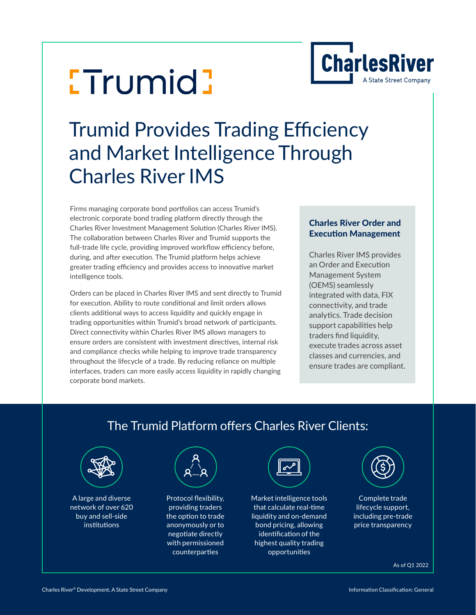

# **ETrumid**

# Trumid Provides Trading Efficiency and Market Intelligence Through Charles River IMS

Firms managing corporate bond portfolios can access Trumid's electronic corporate bond trading platform directly through the Charles River Investment Management Solution (Charles River IMS). The collaboration between Charles River and Trumid supports the full-trade life cycle, providing improved workflow efficiency before, during, and after execution. The Trumid platform helps achieve greater trading efficiency and provides access to innovative market intelligence tools.

Orders can be placed in Charles River IMS and sent directly to Trumid for execution. Ability to route conditional and limit orders allows clients additional ways to access liquidity and quickly engage in trading opportunities within Trumid's broad network of participants. Direct connectivity within Charles River IMS allows managers to ensure orders are consistent with investment directives, internal risk and compliance checks while helping to improve trade transparency throughout the lifecycle of a trade. By reducing reliance on multiple interfaces, traders can more easily access liquidity in rapidly changing corporate bond markets.

#### Charles River Order and Execution Management

Charles River IMS provides an Order and Execution Management System (OEMS) seamlessly integrated with data, FIX connectivity, and trade analytics. Trade decision support capabilities help traders find liquidity, execute trades across asset classes and currencies, and ensure trades are compliant.



#### As of Q1 2022